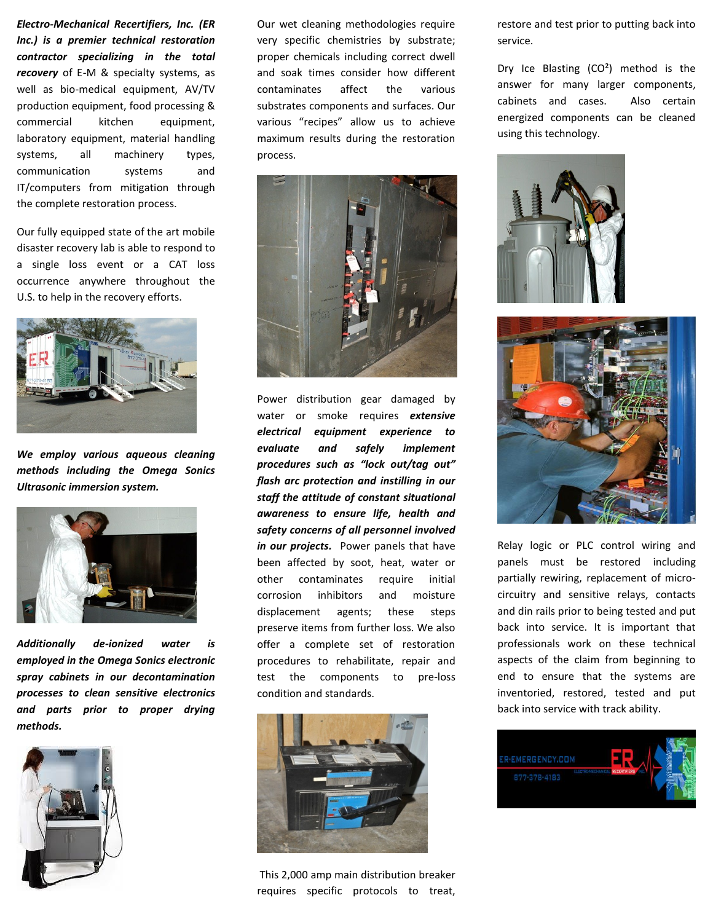*Electro-Mechanical Recertifiers, Inc. (ER Inc.) is a premier technical restoration contractor specializing in the total recovery* of E-M & specialty systems, as well as bio-medical equipment, AV/TV production equipment, food processing & commercial kitchen equipment, laboratory equipment, material handling systems, all machinery types, communication systems and IT/computers from mitigation through the complete restoration process.

Our fully equipped state of the art mobile disaster recovery lab is able to respond to a single loss event or a CAT loss occurrence anywhere throughout the U.S. to help in the recovery efforts.



*We employ various aqueous cleaning methods including the Omega Sonics Ultrasonic immersion system.* 



*Additionally de-ionized water is employed in the Omega Sonics electronic spray cabinets in our decontamination processes to clean sensitive electronics and parts prior to proper drying methods.* 



Our wet cleaning methodologies require very specific chemistries by substrate; proper chemicals including correct dwell and soak times consider how different contaminates affect the various substrates components and surfaces. Our various "recipes" allow us to achieve maximum results during the restoration process.



Power distribution gear damaged by water or smoke requires *extensive electrical equipment experience to evaluate and safely implement procedures such as "lock out/tag out" flash arc protection and instilling in our staff the attitude of constant situational awareness to ensure life, health and safety concerns of all personnel involved in our projects.* Power panels that have been affected by soot, heat, water or other contaminates require initial corrosion inhibitors and moisture displacement agents; these steps preserve items from further loss. We also offer a complete set of restoration procedures to rehabilitate, repair and test the components to pre-loss condition and standards.



 This 2,000 amp main distribution breaker requires specific protocols to treat,

restore and test prior to putting back into service.

Dry Ice Blasting (CO²) method is the answer for many larger components, cabinets and cases. Also certain energized components can be cleaned using this technology.





Relay logic or PLC control wiring and panels must be restored including partially rewiring, replacement of microcircuitry and sensitive relays, contacts and din rails prior to being tested and put back into service. It is important that professionals work on these technical aspects of the claim from beginning to end to ensure that the systems are inventoried, restored, tested and put back into service with track ability.